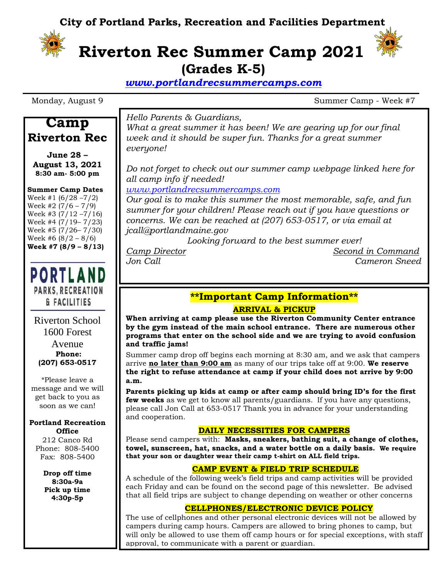**City of Portland Parks, Recreation and Facilities Department**



## **Riverton Rec Summer Camp 2021 (Grades K-5)**

*[www.portlandrecsummercamps.com](http://www.portlandrecsummercamps.com/)*

Monday, August 9 Summer Camp - Week #7

**Camp Riverton Rec**

**June 28 – August 13, 2021 8:30 am- 5:00 pm**

**Summer Camp Dates** Week #1 $(6/28 - 7/2)$ Week #2 (7/6 – 7/9) Week #3 (7/12 –7/16) Week #4 (7/19– 7/23) Week #5 (7/26– 7/30) Week #6  $(8/2 - 8/6)$ **Week #7 (8/9 – 8/13)**

**PORTLAND PARKS, RECREATION & FACILITIES** 

Riverton School 1600 Forest Avenue **Phone: (207) 653-0517**

\*Please leave a message and we will get back to you as soon as we can!

#### **Portland Recreation Office**

212 Canco Rd Phone: 808-5400 Fax: 808-5400

> **Drop off time 8:30a-9a Pick up time 4:30p-5p**

*Hello Parents & Guardians,*

*What a great summer it has been! We are gearing up for our final week and it should be super fun. Thanks for a great summer everyone!* 

*Do not forget to check out our summer camp webpage linked here for all camp info if needed!*

*[www.portlandrecsummercamps.com](http://www.portlandrecsummercamps.com/)*

*Our goal is to make this summer the most memorable, safe, and fun summer for your children! Please reach out if you have questions or concerns. We can be reached at (207) 653-0517, or via email at jcall@portlandmaine.gov*

*Looking forward to the best summer ever!*

*Camp Director Second in Command Jon Call Cameron Sneed*

### **\*\*Important Camp Information\*\***

### **ARRIVAL & PICKUP**

**When arriving at camp please use the Riverton Community Center entrance by the gym instead of the main school entrance. There are numerous other programs that enter on the school side and we are trying to avoid confusion and traffic jams!**

Summer camp drop off begins each morning at 8:30 am, and we ask that campers arrive **no later than 9:00 am** as many of our trips take off at 9:00. **We reserve the right to refuse attendance at camp if your child does not arrive by 9:00 a.m.**

**Parents picking up kids at camp or after camp should bring ID's for the first few weeks** as we get to know all parents/guardians. If you have any questions, please call Jon Call at 653-0517 Thank you in advance for your understanding and cooperation.

### **DAILY NECESSITIES FOR CAMPERS**

Please send campers with: **Masks, sneakers, bathing suit, a change of clothes, towel, sunscreen, hat, snacks, and a water bottle on a daily basis. We require that your son or daughter wear their camp t-shirt on ALL field trips.**

### **CAMP EVENT & FIELD TRIP SCHEDULE**

A schedule of the following week's field trips and camp activities will be provided each Friday and can be found on the second page of this newsletter. Be advised that all field trips are subject to change depending on weather or other concerns

### **CELLPHONES/ELECTRONIC DEVICE POLICY**

The use of cellphones and other personal electronic devices will not be allowed by campers during camp hours. Campers are allowed to bring phones to camp, but will only be allowed to use them off camp hours or for special exceptions, with staff approval, to communicate with a parent or guardian.